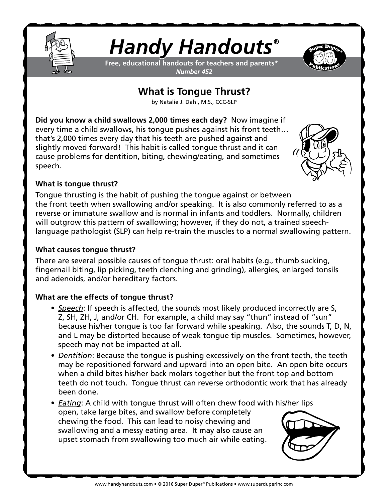

# *Handy Handouts®*

**Free, educational handouts for teachers and parents\*** *Number 452*



## **What is Tongue Thrust?**

by Natalie J. Dahl, M.S., CCC-SLP

**Did you know a child swallows 2,000 times each day?** Now imagine if every time a child swallows, his tongue pushes against his front teeth… that's 2,000 times every day that his teeth are pushed against and slightly moved forward! This habit is called tongue thrust and it can cause problems for dentition, biting, chewing/eating, and sometimes speech.



#### **What is tongue thrust?**

Tongue thrusting is the habit of pushing the tongue against or between the front teeth when swallowing and/or speaking. It is also commonly referred to as a reverse or immature swallow and is normal in infants and toddlers. Normally, children will outgrow this pattern of swallowing; however, if they do not, a trained speechlanguage pathologist (SLP) can help re-train the muscles to a normal swallowing pattern.

#### **What causes tongue thrust?**

There are several possible causes of tongue thrust: oral habits (e.g., thumb sucking, fingernail biting, lip picking, teeth clenching and grinding), allergies, enlarged tonsils and adenoids, and/or hereditary factors.

### **What are the effects of tongue thrust?**

- *• Speech*: If speech is affected, the sounds most likely produced incorrectly are S, Z, SH, ZH, J, and/or CH. For example, a child may say "thun" instead of "sun" because his/her tongue is too far forward while speaking. Also, the sounds T, D, N, and L may be distorted because of weak tongue tip muscles. Sometimes, however, speech may not be impacted at all.
- *• Dentition*: Because the tongue is pushing excessively on the front teeth, the teeth may be repositioned forward and upward into an open bite. An open bite occurs when a child bites his/her back molars together but the front top and bottom teeth do not touch. Tongue thrust can reverse orthodontic work that has already been done.
- *• Eating*: A child with tongue thrust will often chew food with his/her lips open, take large bites, and swallow before completely chewing the food. This can lead to noisy chewing and swallowing and a messy eating area. It may also cause an upset stomach from swallowing too much air while eating.